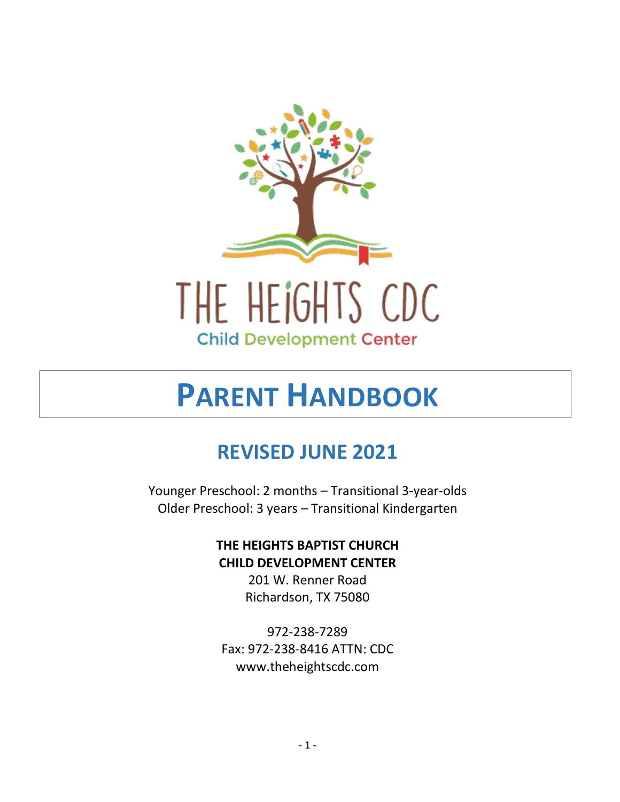

# **PARENT HANDBOOK**

# **REVISED JUNE 2021**

Younger Preschool: 2 months – Transitional 3-year-olds Older Preschool: 3 years – Transitional Kindergarten

### **THE HEIGHTS BAPTIST CHURCH CHILD DEVELOPMENT CENTER**

201 W. Renner Road Richardson, TX 75080

972-238-7289 Fax: 972-238-8416 ATTN: CDC www.theheightscdc.com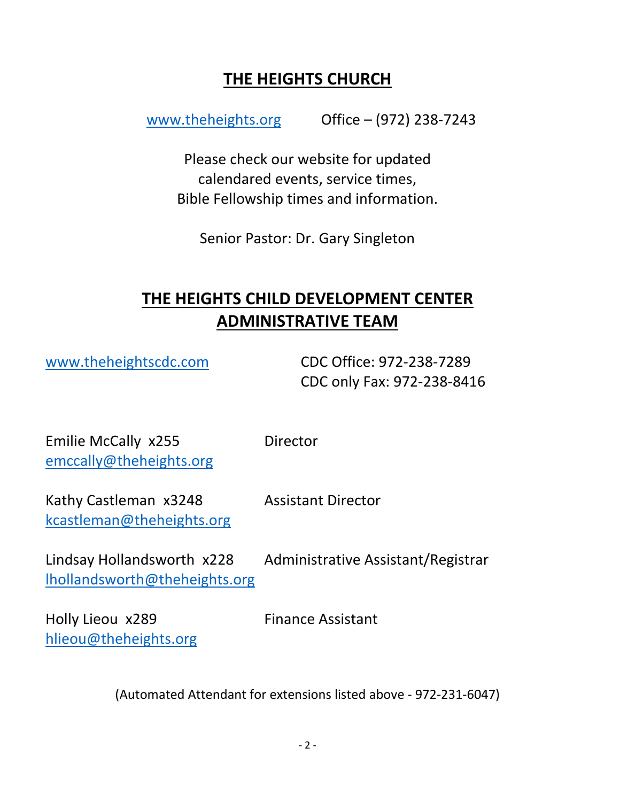# **THE HEIGHTS CHURCH**

[www.theheights.org](http://www.theheights.org/) Office – (972) 238-7243

Please check our website for updated calendared events, service times, Bible Fellowship times and information.

Senior Pastor: Dr. Gary Singleton

# **THE HEIGHTS CHILD DEVELOPMENT CENTER ADMINISTRATIVE TEAM**

[www.theheightscdc.com](http://www.theheightscdc.com/) CDC Office: 972-238-7289 CDC only Fax: 972-238-8416

Emilie McCally x255 Director [emccally@theheights.org](mailto:emccally@theheights.org)

Kathy Castleman x3248 Assistant Director [kcastleman@theheights.org](mailto:kcastleman@theheights.org)

[lhollandsworth@theheights.org](mailto:lhollandsworth@theheights.org)

Lindsay Hollandsworth x228 Administrative Assistant/Registrar

Holly Lieou x289 Finance Assistant [hlieou@theheights.org](mailto:hlieou@theheights.org)

(Automated Attendant for extensions listed above - 972-231-6047)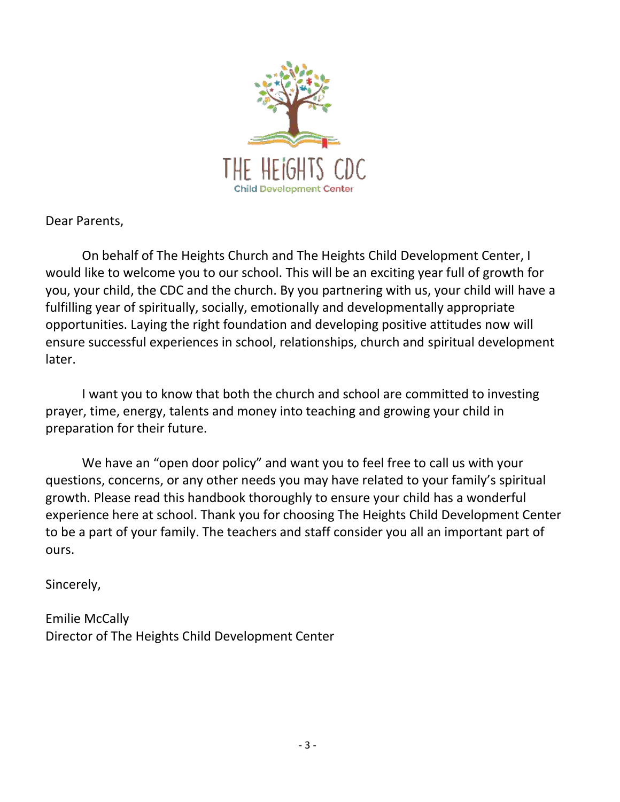

Dear Parents,

On behalf of The Heights Church and The Heights Child Development Center, I would like to welcome you to our school. This will be an exciting year full of growth for you, your child, the CDC and the church. By you partnering with us, your child will have a fulfilling year of spiritually, socially, emotionally and developmentally appropriate opportunities. Laying the right foundation and developing positive attitudes now will ensure successful experiences in school, relationships, church and spiritual development later.

I want you to know that both the church and school are committed to investing prayer, time, energy, talents and money into teaching and growing your child in preparation for their future.

We have an "open door policy" and want you to feel free to call us with your questions, concerns, or any other needs you may have related to your family's spiritual growth. Please read this handbook thoroughly to ensure your child has a wonderful experience here at school. Thank you for choosing The Heights Child Development Center to be a part of your family. The teachers and staff consider you all an important part of ours.

Sincerely,

Emilie McCally Director of The Heights Child Development Center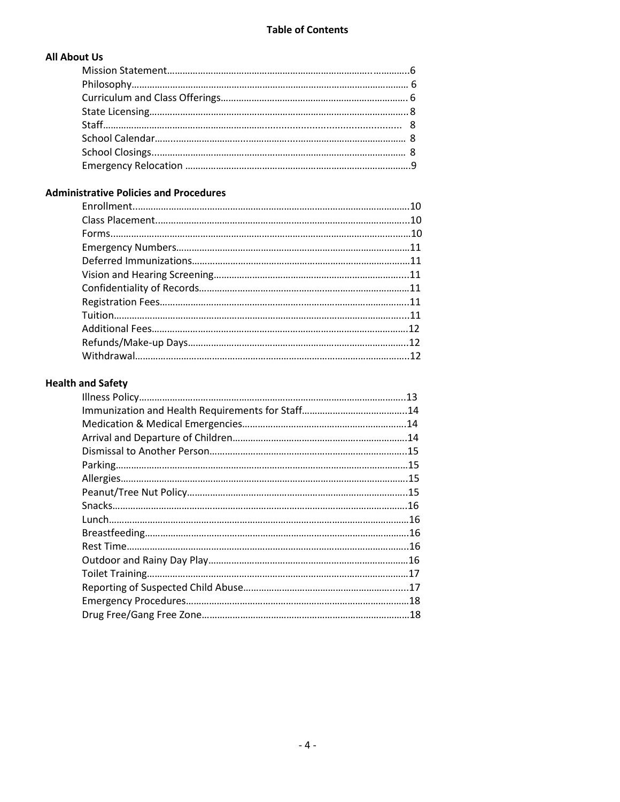#### **All About Us**

#### **Administrative Policies and Procedures**

#### **Health and Safety**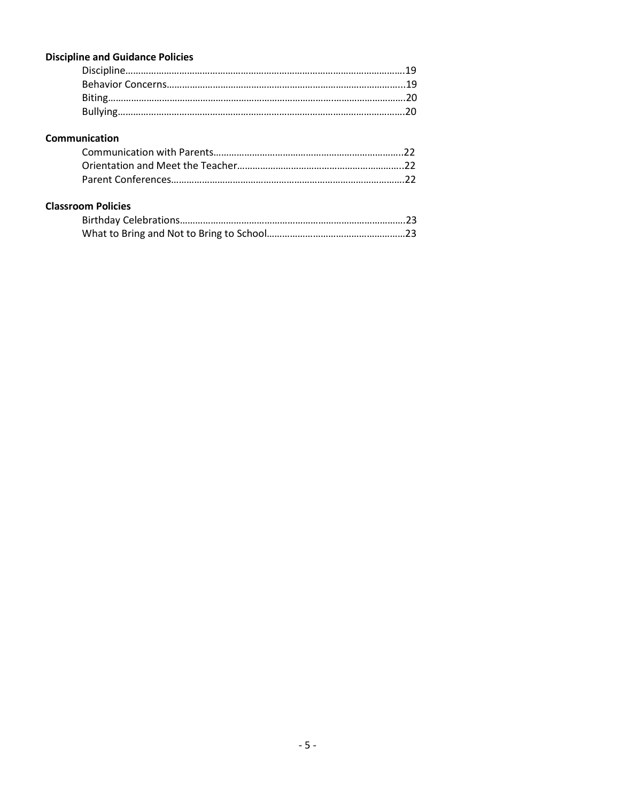#### **Discipline and Guidance Policies**

#### **Communication**

#### **Classroom Policies**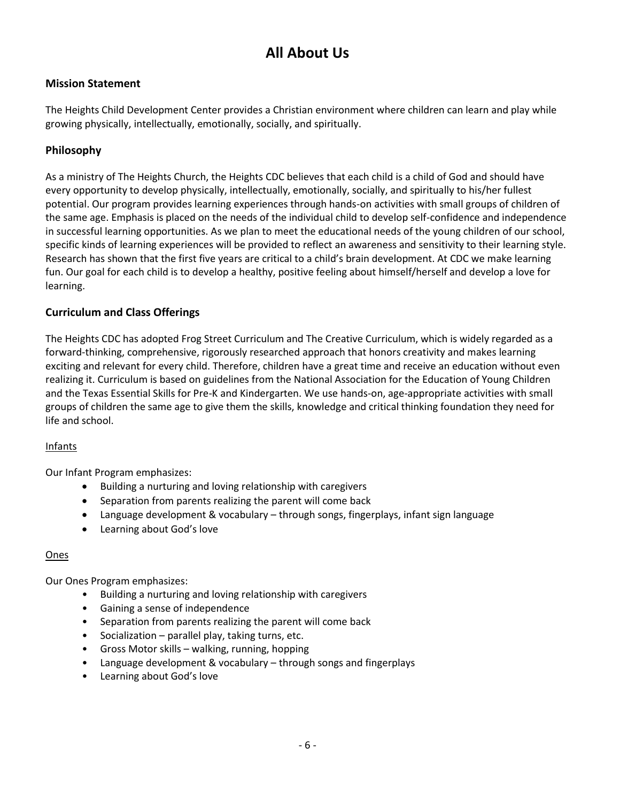# **All About Us**

#### **Mission Statement**

The Heights Child Development Center provides a Christian environment where children can learn and play while growing physically, intellectually, emotionally, socially, and spiritually.

#### **Philosophy**

As a ministry of The Heights Church, the Heights CDC believes that each child is a child of God and should have every opportunity to develop physically, intellectually, emotionally, socially, and spiritually to his/her fullest potential. Our program provides learning experiences through hands-on activities with small groups of children of the same age. Emphasis is placed on the needs of the individual child to develop self-confidence and independence in successful learning opportunities. As we plan to meet the educational needs of the young children of our school, specific kinds of learning experiences will be provided to reflect an awareness and sensitivity to their learning style. Research has shown that the first five years are critical to a child's brain development. At CDC we make learning fun. Our goal for each child is to develop a healthy, positive feeling about himself/herself and develop a love for learning.

#### **Curriculum and Class Offerings**

The Heights CDC has adopted Frog Street Curriculum and The Creative Curriculum, which is widely regarded as a forward-thinking, comprehensive, rigorously researched approach that honors creativity and makes learning exciting and relevant for every child. Therefore, children have a great time and receive an education without even realizing it. Curriculum is based on guidelines from the National Association for the Education of Young Children and the Texas Essential Skills for Pre-K and Kindergarten. We use hands-on, age-appropriate activities with small groups of children the same age to give them the skills, knowledge and critical thinking foundation they need for life and school.

#### Infants

Our Infant Program emphasizes:

- Building a nurturing and loving relationship with caregivers
- Separation from parents realizing the parent will come back
- Language development & vocabulary through songs, fingerplays, infant sign language
- Learning about God's love

#### Ones

Our Ones Program emphasizes:

- Building a nurturing and loving relationship with caregivers
- Gaining a sense of independence
- Separation from parents realizing the parent will come back
- Socialization parallel play, taking turns, etc.
- Gross Motor skills walking, running, hopping
- Language development & vocabulary through songs and fingerplays
- Learning about God's love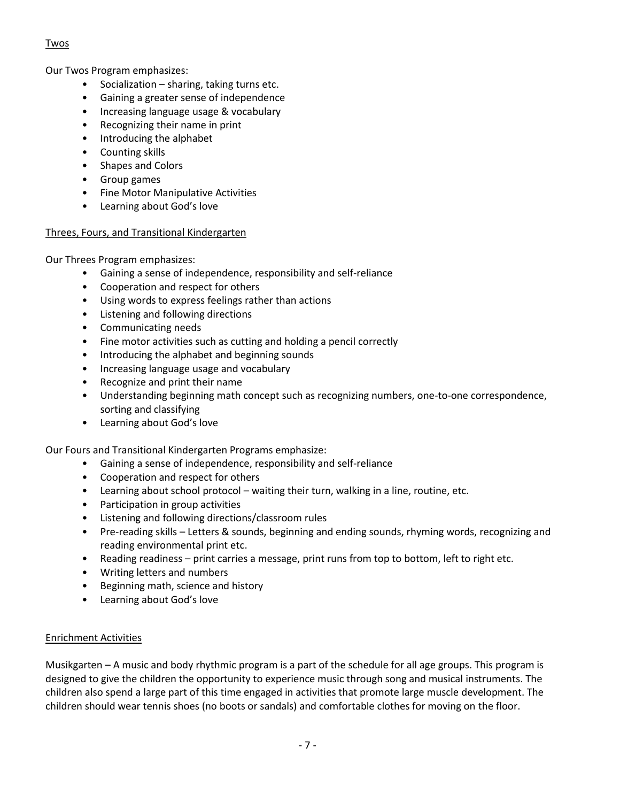#### Twos

Our Twos Program emphasizes:

- Socialization sharing, taking turns etc.
- Gaining a greater sense of independence
- Increasing language usage & vocabulary
- Recognizing their name in print
- Introducing the alphabet
- Counting skills
- Shapes and Colors
- Group games
- Fine Motor Manipulative Activities
- Learning about God's love

#### Threes, Fours, and Transitional Kindergarten

Our Threes Program emphasizes:

- Gaining a sense of independence, responsibility and self-reliance
- Cooperation and respect for others
- Using words to express feelings rather than actions
- Listening and following directions
- Communicating needs
- Fine motor activities such as cutting and holding a pencil correctly
- Introducing the alphabet and beginning sounds
- Increasing language usage and vocabulary
- Recognize and print their name
- Understanding beginning math concept such as recognizing numbers, one-to-one correspondence, sorting and classifying
- Learning about God's love

Our Fours and Transitional Kindergarten Programs emphasize:

- Gaining a sense of independence, responsibility and self-reliance
- Cooperation and respect for others
- Learning about school protocol waiting their turn, walking in a line, routine, etc.
- Participation in group activities
- Listening and following directions/classroom rules
- Pre-reading skills Letters & sounds, beginning and ending sounds, rhyming words, recognizing and reading environmental print etc.
- Reading readiness print carries a message, print runs from top to bottom, left to right etc.
- Writing letters and numbers
- Beginning math, science and history
- Learning about God's love

#### Enrichment Activities

Musikgarten – A music and body rhythmic program is a part of the schedule for all age groups. This program is designed to give the children the opportunity to experience music through song and musical instruments. The children also spend a large part of this time engaged in activities that promote large muscle development. The children should wear tennis shoes (no boots or sandals) and comfortable clothes for moving on the floor.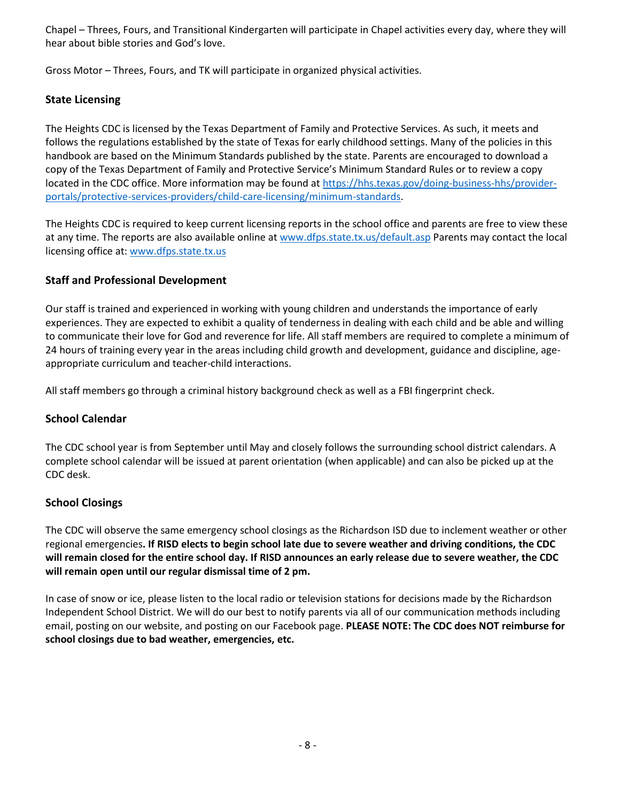Chapel – Threes, Fours, and Transitional Kindergarten will participate in Chapel activities every day, where they will hear about bible stories and God's love.

Gross Motor – Threes, Fours, and TK will participate in organized physical activities.

#### **State Licensing**

The Heights CDC is licensed by the Texas Department of Family and Protective Services. As such, it meets and follows the regulations established by the state of Texas for early childhood settings. Many of the policies in this handbook are based on the Minimum Standards published by the state. Parents are encouraged to download a copy of the Texas Department of Family and Protective Service's Minimum Standard Rules or to review a copy located in the CDC office. More information may be found at [https://hhs.texas.gov/doing-business-hhs/provider](https://hhs.texas.gov/doing-business-hhs/provider-portals/protective-services-providers/child-care-licensing/minimum-standards)[portals/protective-services-providers/child-care-licensing/minimum-standards.](https://hhs.texas.gov/doing-business-hhs/provider-portals/protective-services-providers/child-care-licensing/minimum-standards)

The Heights CDC is required to keep current licensing reports in the school office and parents are free to view these at any time. The reports are also available online at [www.dfps.state.tx.us/default.asp](http://www.dfps.state.tx.us/default.asp) Parents may contact the local licensing office at: [www.dfps.state.tx.us](http://www.dfps.state.tx.us/)

#### **Staff and Professional Development**

Our staff is trained and experienced in working with young children and understands the importance of early experiences. They are expected to exhibit a quality of tenderness in dealing with each child and be able and willing to communicate their love for God and reverence for life. All staff members are required to complete a minimum of 24 hours of training every year in the areas including child growth and development, guidance and discipline, ageappropriate curriculum and teacher-child interactions.

All staff members go through a criminal history background check as well as a FBI fingerprint check.

#### **School Calendar**

The CDC school year is from September until May and closely follows the surrounding school district calendars. A complete school calendar will be issued at parent orientation (when applicable) and can also be picked up at the CDC desk.

#### **School Closings**

The CDC will observe the same emergency school closings as the Richardson ISD due to inclement weather or other regional emergencies**. If RISD elects to begin school late due to severe weather and driving conditions, the CDC will remain closed for the entire school day. If RISD announces an early release due to severe weather, the CDC will remain open until our regular dismissal time of 2 pm.**

In case of snow or ice, please listen to the local radio or television stations for decisions made by the Richardson Independent School District. We will do our best to notify parents via all of our communication methods including email, posting on our website, and posting on our Facebook page. **PLEASE NOTE: The CDC does NOT reimburse for school closings due to bad weather, emergencies, etc.**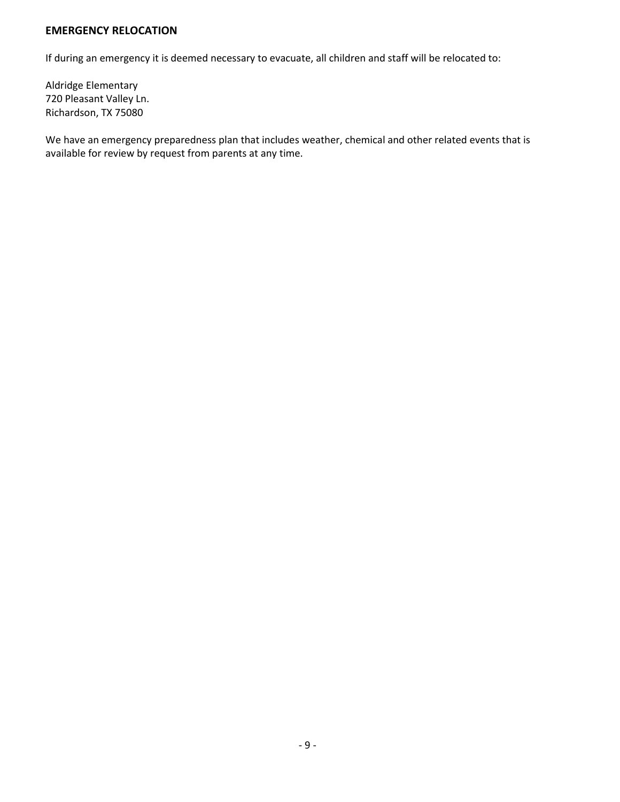#### **EMERGENCY RELOCATION**

If during an emergency it is deemed necessary to evacuate, all children and staff will be relocated to:

Aldridge Elementary 720 Pleasant Valley Ln. Richardson, TX 75080

We have an emergency preparedness plan that includes weather, chemical and other related events that is available for review by request from parents at any time.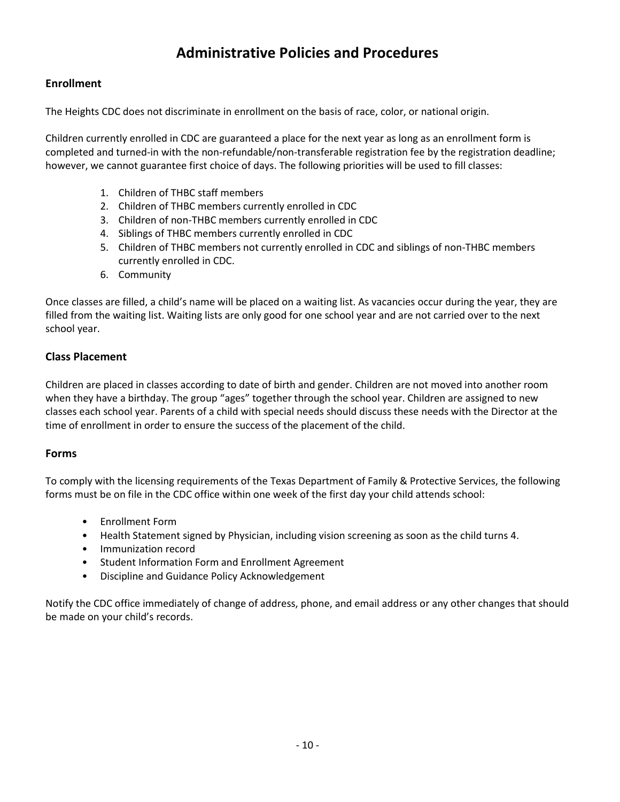# **Administrative Policies and Procedures**

#### **Enrollment**

The Heights CDC does not discriminate in enrollment on the basis of race, color, or national origin.

Children currently enrolled in CDC are guaranteed a place for the next year as long as an enrollment form is completed and turned-in with the non-refundable/non-transferable registration fee by the registration deadline; however, we cannot guarantee first choice of days. The following priorities will be used to fill classes:

- 1. Children of THBC staff members
- 2. Children of THBC members currently enrolled in CDC
- 3. Children of non-THBC members currently enrolled in CDC
- 4. Siblings of THBC members currently enrolled in CDC
- 5. Children of THBC members not currently enrolled in CDC and siblings of non-THBC members currently enrolled in CDC.
- 6. Community

Once classes are filled, a child's name will be placed on a waiting list. As vacancies occur during the year, they are filled from the waiting list. Waiting lists are only good for one school year and are not carried over to the next school year.

#### **Class Placement**

Children are placed in classes according to date of birth and gender. Children are not moved into another room when they have a birthday. The group "ages" together through the school year. Children are assigned to new classes each school year. Parents of a child with special needs should discuss these needs with the Director at the time of enrollment in order to ensure the success of the placement of the child.

#### **Forms**

To comply with the licensing requirements of the Texas Department of Family & Protective Services, the following forms must be on file in the CDC office within one week of the first day your child attends school:

- Enrollment Form
- Health Statement signed by Physician, including vision screening as soon as the child turns 4.
- Immunization record
- Student Information Form and Enrollment Agreement
- Discipline and Guidance Policy Acknowledgement

Notify the CDC office immediately of change of address, phone, and email address or any other changes that should be made on your child's records.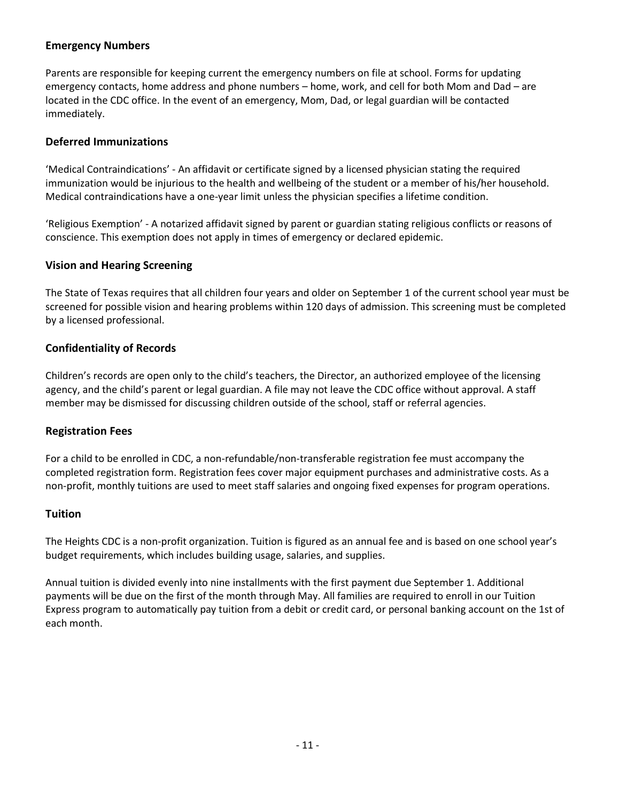#### **Emergency Numbers**

Parents are responsible for keeping current the emergency numbers on file at school. Forms for updating emergency contacts, home address and phone numbers – home, work, and cell for both Mom and Dad – are located in the CDC office. In the event of an emergency, Mom, Dad, or legal guardian will be contacted immediately.

#### **Deferred Immunizations**

'Medical Contraindications' - An affidavit or certificate signed by a licensed physician stating the required immunization would be injurious to the health and wellbeing of the student or a member of his/her household. Medical contraindications have a one-year limit unless the physician specifies a lifetime condition.

'Religious Exemption' - A notarized affidavit signed by parent or guardian stating religious conflicts or reasons of conscience. This exemption does not apply in times of emergency or declared epidemic.

#### **Vision and Hearing Screening**

The State of Texas requires that all children four years and older on September 1 of the current school year must be screened for possible vision and hearing problems within 120 days of admission. This screening must be completed by a licensed professional.

#### **Confidentiality of Records**

Children's records are open only to the child's teachers, the Director, an authorized employee of the licensing agency, and the child's parent or legal guardian. A file may not leave the CDC office without approval. A staff member may be dismissed for discussing children outside of the school, staff or referral agencies.

#### **Registration Fees**

For a child to be enrolled in CDC, a non-refundable/non-transferable registration fee must accompany the completed registration form. Registration fees cover major equipment purchases and administrative costs. As a non-profit, monthly tuitions are used to meet staff salaries and ongoing fixed expenses for program operations.

#### **Tuition**

The Heights CDC is a non-profit organization. Tuition is figured as an annual fee and is based on one school year's budget requirements, which includes building usage, salaries, and supplies.

Annual tuition is divided evenly into nine installments with the first payment due September 1. Additional payments will be due on the first of the month through May. All families are required to enroll in our Tuition Express program to automatically pay tuition from a debit or credit card, or personal banking account on the 1st of each month.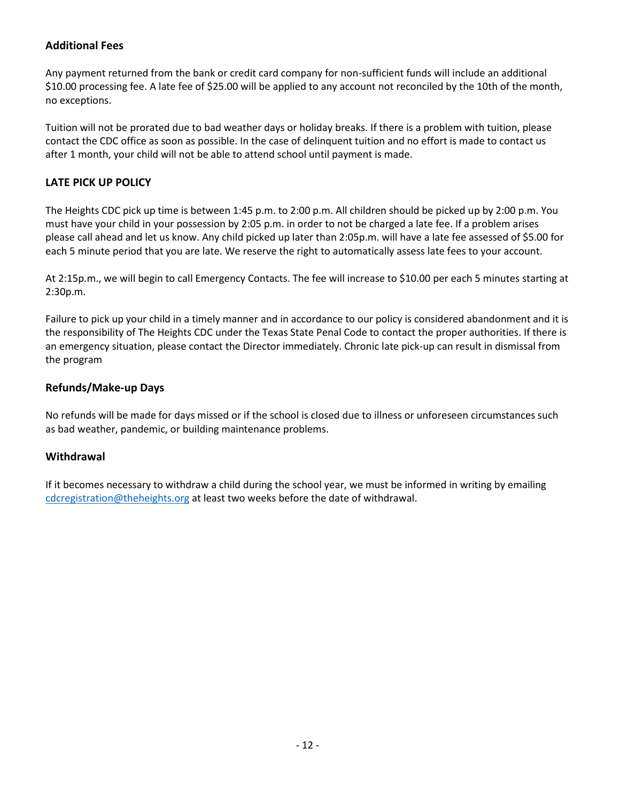#### **Additional Fees**

Any payment returned from the bank or credit card company for non-sufficient funds will include an additional \$10.00 processing fee. A late fee of \$25.00 will be applied to any account not reconciled by the 10th of the month, no exceptions.

Tuition will not be prorated due to bad weather days or holiday breaks. If there is a problem with tuition, please contact the CDC office as soon as possible. In the case of delinquent tuition and no effort is made to contact us after 1 month, your child will not be able to attend school until payment is made.

#### **LATE PICK UP POLICY**

The Heights CDC pick up time is between 1:45 p.m. to 2:00 p.m. All children should be picked up by 2:00 p.m. You must have your child in your possession by 2:05 p.m. in order to not be charged a late fee. If a problem arises please call ahead and let us know. Any child picked up later than 2:05p.m. will have a late fee assessed of \$5.00 for each 5 minute period that you are late. We reserve the right to automatically assess late fees to your account.

At 2:15p.m., we will begin to call Emergency Contacts. The fee will increase to \$10.00 per each 5 minutes starting at 2:30p.m.

Failure to pick up your child in a timely manner and in accordance to our policy is considered abandonment and it is the responsibility of The Heights CDC under the Texas State Penal Code to contact the proper authorities. If there is an emergency situation, please contact the Director immediately. Chronic late pick-up can result in dismissal from the program

#### **Refunds/Make-up Days**

No refunds will be made for days missed or if the school is closed due to illness or unforeseen circumstances such as bad weather, pandemic, or building maintenance problems.

#### **Withdrawal**

If it becomes necessary to withdraw a child during the school year, we must be informed in writing by emailing [cdcregistration@theheights.org](mailto:cdcregistration@theheights.org) at least two weeks before the date of withdrawal.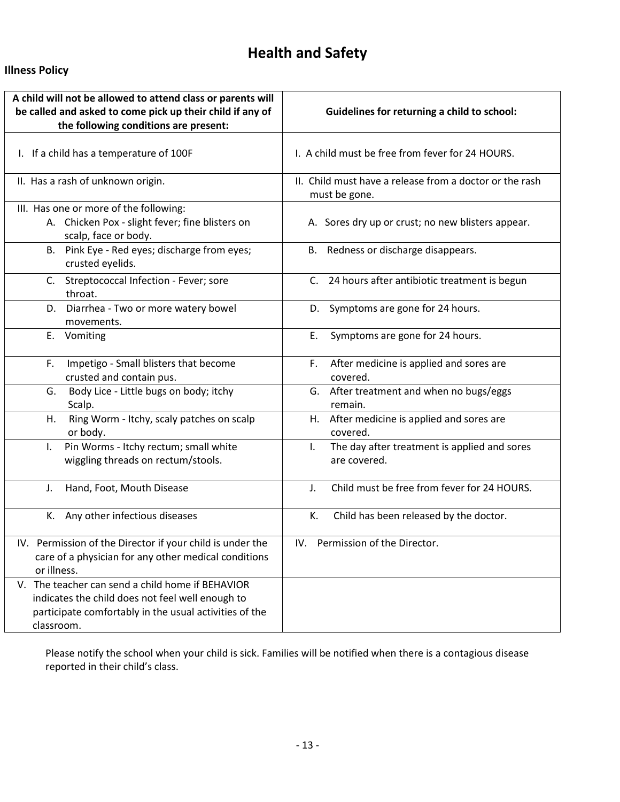# **Health and Safety**

#### **Illness Policy**

| A child will not be allowed to attend class or parents will<br>be called and asked to come pick up their child if any of<br>the following conditions are present: | Guidelines for returning a child to school:                              |
|-------------------------------------------------------------------------------------------------------------------------------------------------------------------|--------------------------------------------------------------------------|
| I. If a child has a temperature of 100F                                                                                                                           | I. A child must be free from fever for 24 HOURS.                         |
| II. Has a rash of unknown origin.                                                                                                                                 | II. Child must have a release from a doctor or the rash<br>must be gone. |
| III. Has one or more of the following:<br>A. Chicken Pox - slight fever; fine blisters on<br>scalp, face or body.                                                 | A. Sores dry up or crust; no new blisters appear.                        |
| B. Pink Eye - Red eyes; discharge from eyes;<br>crusted eyelids.                                                                                                  | B. Redness or discharge disappears.                                      |
| C. Streptococcal Infection - Fever; sore<br>throat.                                                                                                               | C. 24 hours after antibiotic treatment is begun                          |
| D. Diarrhea - Two or more watery bowel<br>movements.                                                                                                              | D. Symptoms are gone for 24 hours.                                       |
| E. Vomiting                                                                                                                                                       | Symptoms are gone for 24 hours.<br>Ε.                                    |
| Impetigo - Small blisters that become<br>F.<br>crusted and contain pus.                                                                                           | After medicine is applied and sores are<br>F.<br>covered.                |
| G.<br>Body Lice - Little bugs on body; itchy<br>Scalp.                                                                                                            | G. After treatment and when no bugs/eggs<br>remain.                      |
| Ring Worm - Itchy, scaly patches on scalp<br>Η.<br>or body.                                                                                                       | H. After medicine is applied and sores are<br>covered.                   |
| Pin Worms - Itchy rectum; small white<br>L.<br>wiggling threads on rectum/stools.                                                                                 | The day after treatment is applied and sores<br>L.<br>are covered.       |
| Hand, Foot, Mouth Disease<br>J.                                                                                                                                   | Child must be free from fever for 24 HOURS.<br>J.                        |
| K. Any other infectious diseases                                                                                                                                  | Child has been released by the doctor.<br>К.                             |
| IV. Permission of the Director if your child is under the<br>care of a physician for any other medical conditions<br>or illness.                                  | IV. Permission of the Director.                                          |
| V. The teacher can send a child home if BEHAVIOR                                                                                                                  |                                                                          |
| indicates the child does not feel well enough to<br>participate comfortably in the usual activities of the                                                        |                                                                          |
| classroom.                                                                                                                                                        |                                                                          |

Please notify the school when your child is sick. Families will be notified when there is a contagious disease reported in their child's class.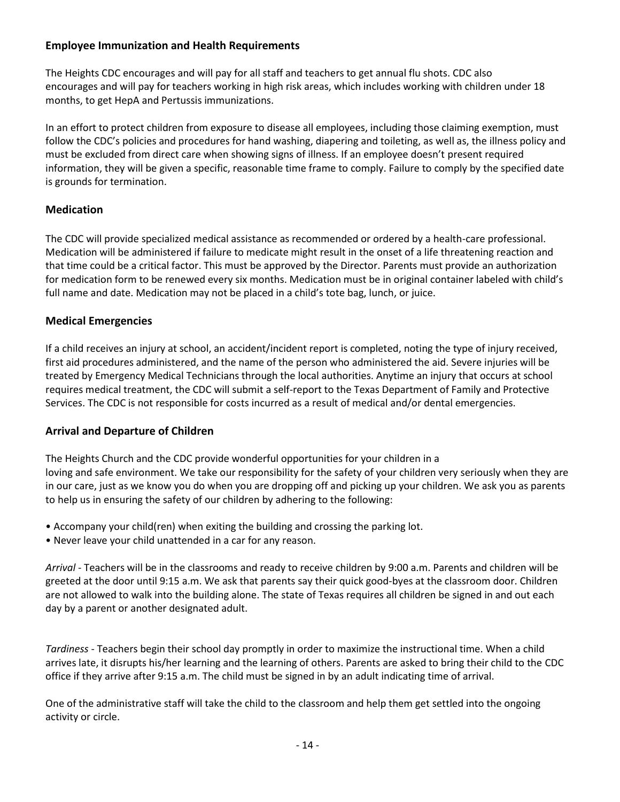#### **Employee Immunization and Health Requirements**

The Heights CDC encourages and will pay for all staff and teachers to get annual flu shots. CDC also encourages and will pay for teachers working in high risk areas, which includes working with children under 18 months, to get HepA and Pertussis immunizations.

In an effort to protect children from exposure to disease all employees, including those claiming exemption, must follow the CDC's policies and procedures for hand washing, diapering and toileting, as well as, the illness policy and must be excluded from direct care when showing signs of illness. If an employee doesn't present required information, they will be given a specific, reasonable time frame to comply. Failure to comply by the specified date is grounds for termination.

#### **Medication**

The CDC will provide specialized medical assistance as recommended or ordered by a health-care professional. Medication will be administered if failure to medicate might result in the onset of a life threatening reaction and that time could be a critical factor. This must be approved by the Director. Parents must provide an authorization for medication form to be renewed every six months. Medication must be in original container labeled with child's full name and date. Medication may not be placed in a child's tote bag, lunch, or juice.

#### **Medical Emergencies**

If a child receives an injury at school, an accident/incident report is completed, noting the type of injury received, first aid procedures administered, and the name of the person who administered the aid. Severe injuries will be treated by Emergency Medical Technicians through the local authorities. Anytime an injury that occurs at school requires medical treatment, the CDC will submit a self-report to the Texas Department of Family and Protective Services. The CDC is not responsible for costs incurred as a result of medical and/or dental emergencies.

#### **Arrival and Departure of Children**

The Heights Church and the CDC provide wonderful opportunities for your children in a loving and safe environment. We take our responsibility for the safety of your children very seriously when they are in our care, just as we know you do when you are dropping off and picking up your children. We ask you as parents to help us in ensuring the safety of our children by adhering to the following:

- Accompany your child(ren) when exiting the building and crossing the parking lot.
- Never leave your child unattended in a car for any reason.

*Arrival* - Teachers will be in the classrooms and ready to receive children by 9:00 a.m. Parents and children will be greeted at the door until 9:15 a.m. We ask that parents say their quick good-byes at the classroom door. Children are not allowed to walk into the building alone. The state of Texas requires all children be signed in and out each day by a parent or another designated adult.

*Tardiness* - Teachers begin their school day promptly in order to maximize the instructional time. When a child arrives late, it disrupts his/her learning and the learning of others. Parents are asked to bring their child to the CDC office if they arrive after 9:15 a.m. The child must be signed in by an adult indicating time of arrival.

One of the administrative staff will take the child to the classroom and help them get settled into the ongoing activity or circle.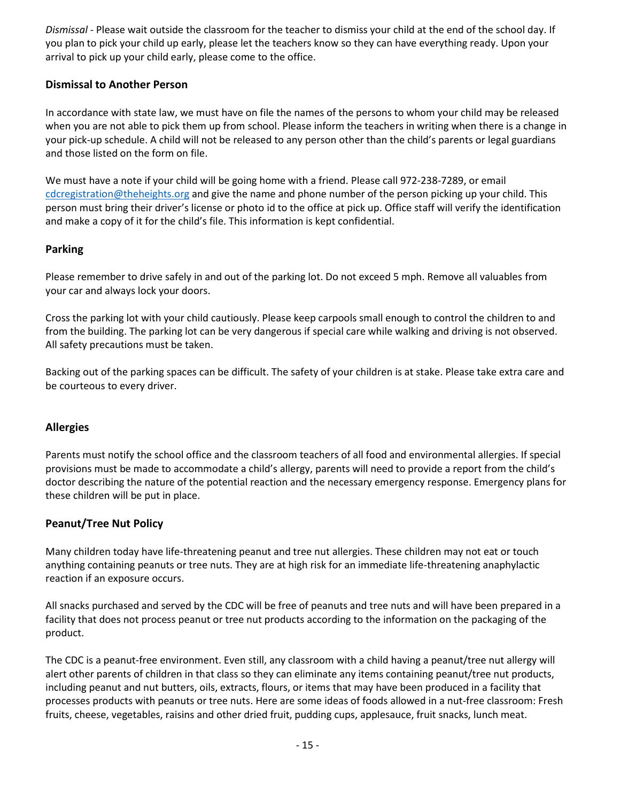*Dismissal* - Please wait outside the classroom for the teacher to dismiss your child at the end of the school day. If you plan to pick your child up early, please let the teachers know so they can have everything ready. Upon your arrival to pick up your child early, please come to the office.

#### **Dismissal to Another Person**

In accordance with state law, we must have on file the names of the persons to whom your child may be released when you are not able to pick them up from school. Please inform the teachers in writing when there is a change in your pick-up schedule. A child will not be released to any person other than the child's parents or legal guardians and those listed on the form on file.

We must have a note if your child will be going home with a friend. Please call 972-238-7289, or email [cdcregistration@theheights.org](mailto:cdcregistration@theheights.org) and give the name and phone number of the person picking up your child. This person must bring their driver's license or photo id to the office at pick up. Office staff will verify the identification and make a copy of it for the child's file. This information is kept confidential.

#### **Parking**

Please remember to drive safely in and out of the parking lot. Do not exceed 5 mph. Remove all valuables from your car and always lock your doors.

Cross the parking lot with your child cautiously. Please keep carpools small enough to control the children to and from the building. The parking lot can be very dangerous if special care while walking and driving is not observed. All safety precautions must be taken.

Backing out of the parking spaces can be difficult. The safety of your children is at stake. Please take extra care and be courteous to every driver.

#### **Allergies**

Parents must notify the school office and the classroom teachers of all food and environmental allergies. If special provisions must be made to accommodate a child's allergy, parents will need to provide a report from the child's doctor describing the nature of the potential reaction and the necessary emergency response. Emergency plans for these children will be put in place.

#### **Peanut/Tree Nut Policy**

Many children today have life-threatening peanut and tree nut allergies. These children may not eat or touch anything containing peanuts or tree nuts. They are at high risk for an immediate life-threatening anaphylactic reaction if an exposure occurs.

All snacks purchased and served by the CDC will be free of peanuts and tree nuts and will have been prepared in a facility that does not process peanut or tree nut products according to the information on the packaging of the product.

The CDC is a peanut-free environment. Even still, any classroom with a child having a peanut/tree nut allergy will alert other parents of children in that class so they can eliminate any items containing peanut/tree nut products, including peanut and nut butters, oils, extracts, flours, or items that may have been produced in a facility that processes products with peanuts or tree nuts. Here are some ideas of foods allowed in a nut-free classroom: Fresh fruits, cheese, vegetables, raisins and other dried fruit, pudding cups, applesauce, fruit snacks, lunch meat.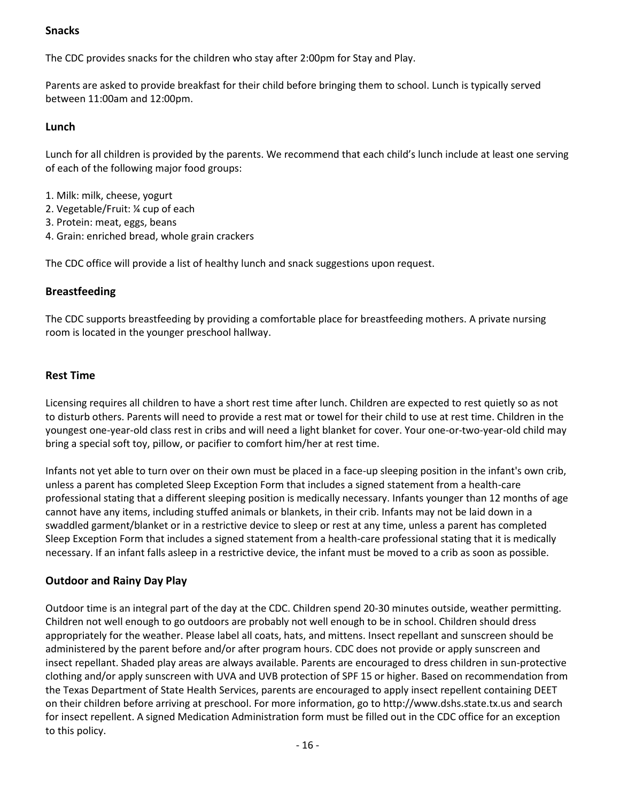#### **Snacks**

The CDC provides snacks for the children who stay after 2:00pm for Stay and Play.

Parents are asked to provide breakfast for their child before bringing them to school. Lunch is typically served between 11:00am and 12:00pm.

#### **Lunch**

Lunch for all children is provided by the parents. We recommend that each child's lunch include at least one serving of each of the following major food groups:

- 1. Milk: milk, cheese, yogurt
- 2. Vegetable/Fruit: ¼ cup of each
- 3. Protein: meat, eggs, beans
- 4. Grain: enriched bread, whole grain crackers

The CDC office will provide a list of healthy lunch and snack suggestions upon request.

#### **Breastfeeding**

The CDC supports breastfeeding by providing a comfortable place for breastfeeding mothers. A private nursing room is located in the younger preschool hallway.

#### **Rest Time**

Licensing requires all children to have a short rest time after lunch. Children are expected to rest quietly so as not to disturb others. Parents will need to provide a rest mat or towel for their child to use at rest time. Children in the youngest one-year-old class rest in cribs and will need a light blanket for cover. Your one-or-two-year-old child may bring a special soft toy, pillow, or pacifier to comfort him/her at rest time.

Infants not yet able to turn over on their own must be placed in a face-up sleeping position in the infant's own crib, unless a parent has completed Sleep Exception Form that includes a signed statement from a health-care professional stating that a different sleeping position is medically necessary. Infants younger than 12 months of age cannot have any items, including stuffed animals or blankets, in their crib. Infants may not be laid down in a swaddled garment/blanket or in a restrictive device to sleep or rest at any time, unless a parent has completed Sleep Exception Form that includes a signed statement from a health-care professional stating that it is medically necessary. If an infant falls asleep in a restrictive device, the infant must be moved to a crib as soon as possible.

#### **Outdoor and Rainy Day Play**

Outdoor time is an integral part of the day at the CDC. Children spend 20-30 minutes outside, weather permitting. Children not well enough to go outdoors are probably not well enough to be in school. Children should dress appropriately for the weather. Please label all coats, hats, and mittens. Insect repellant and sunscreen should be administered by the parent before and/or after program hours. CDC does not provide or apply sunscreen and insect repellant. Shaded play areas are always available. Parents are encouraged to dress children in sun-protective clothing and/or apply sunscreen with UVA and UVB protection of SPF 15 or higher. Based on recommendation from the Texas Department of State Health Services, parents are encouraged to apply insect repellent containing DEET on their children before arriving at preschool. For more information, go to http://www.dshs.state.tx.us and search for insect repellent. A signed Medication Administration form must be filled out in the CDC office for an exception to this policy.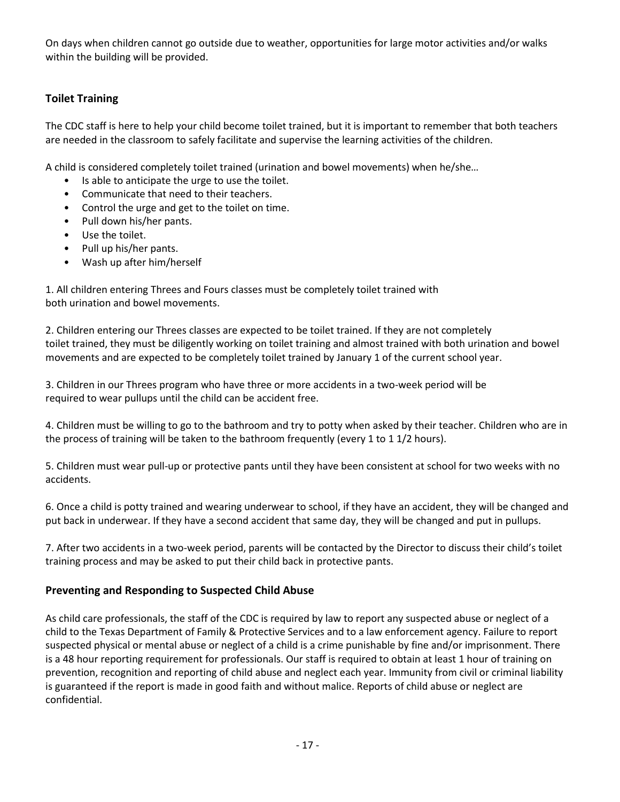On days when children cannot go outside due to weather, opportunities for large motor activities and/or walks within the building will be provided.

#### **Toilet Training**

The CDC staff is here to help your child become toilet trained, but it is important to remember that both teachers are needed in the classroom to safely facilitate and supervise the learning activities of the children.

A child is considered completely toilet trained (urination and bowel movements) when he/she…

- Is able to anticipate the urge to use the toilet.
- Communicate that need to their teachers.
- Control the urge and get to the toilet on time.
- Pull down his/her pants.
- Use the toilet.
- Pull up his/her pants.
- Wash up after him/herself

1. All children entering Threes and Fours classes must be completely toilet trained with both urination and bowel movements.

2. Children entering our Threes classes are expected to be toilet trained. If they are not completely toilet trained, they must be diligently working on toilet training and almost trained with both urination and bowel movements and are expected to be completely toilet trained by January 1 of the current school year.

3. Children in our Threes program who have three or more accidents in a two-week period will be required to wear pullups until the child can be accident free.

4. Children must be willing to go to the bathroom and try to potty when asked by their teacher. Children who are in the process of training will be taken to the bathroom frequently (every 1 to 1 1/2 hours).

5. Children must wear pull-up or protective pants until they have been consistent at school for two weeks with no accidents.

6. Once a child is potty trained and wearing underwear to school, if they have an accident, they will be changed and put back in underwear. If they have a second accident that same day, they will be changed and put in pullups.

7. After two accidents in a two-week period, parents will be contacted by the Director to discuss their child's toilet training process and may be asked to put their child back in protective pants.

#### **Preventing and Responding to Suspected Child Abuse**

As child care professionals, the staff of the CDC is required by law to report any suspected abuse or neglect of a child to the Texas Department of Family & Protective Services and to a law enforcement agency. Failure to report suspected physical or mental abuse or neglect of a child is a crime punishable by fine and/or imprisonment. There is a 48 hour reporting requirement for professionals. Our staff is required to obtain at least 1 hour of training on prevention, recognition and reporting of child abuse and neglect each year. Immunity from civil or criminal liability is guaranteed if the report is made in good faith and without malice. Reports of child abuse or neglect are confidential.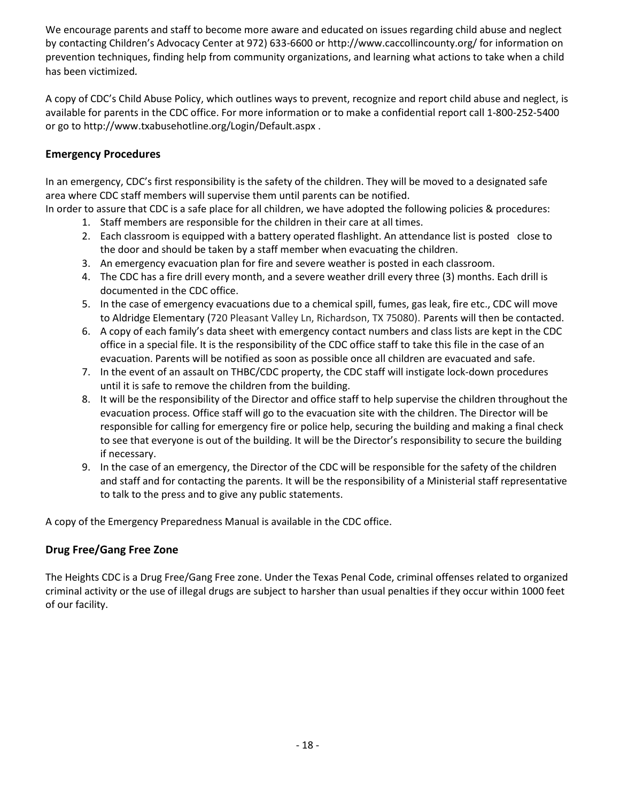We encourage parents and staff to become more aware and educated on issues regarding child abuse and neglect by contacting Children's Advocacy Center at 972) 633-6600 or http://www.caccollincounty.org/ for information on prevention techniques, finding help from community organizations, and learning what actions to take when a child has been victimized*.*

A copy of CDC's Child Abuse Policy, which outlines ways to prevent, recognize and report child abuse and neglect, is available for parents in the CDC office. For more information or to make a confidential report call 1-800-252-5400 or go to http://www.txabusehotline.org/Login/Default.aspx .

#### **Emergency Procedures**

In an emergency, CDC's first responsibility is the safety of the children. They will be moved to a designated safe area where CDC staff members will supervise them until parents can be notified.

In order to assure that CDC is a safe place for all children, we have adopted the following policies & procedures:

- 1. Staff members are responsible for the children in their care at all times.
- 2. Each classroom is equipped with a battery operated flashlight. An attendance list is posted close to the door and should be taken by a staff member when evacuating the children.
- 3. An emergency evacuation plan for fire and severe weather is posted in each classroom.
- 4. The CDC has a fire drill every month, and a severe weather drill every three (3) months. Each drill is documented in the CDC office.
- 5. In the case of emergency evacuations due to a chemical spill, fumes, gas leak, fire etc., CDC will move to Aldridge Elementary (720 Pleasant Valley Ln, Richardson, TX 75080). Parents will then be contacted.
- 6. A copy of each family's data sheet with emergency contact numbers and class lists are kept in the CDC office in a special file. It is the responsibility of the CDC office staff to take this file in the case of an evacuation. Parents will be notified as soon as possible once all children are evacuated and safe.
- 7. In the event of an assault on THBC/CDC property, the CDC staff will instigate lock-down procedures until it is safe to remove the children from the building.
- 8. It will be the responsibility of the Director and office staff to help supervise the children throughout the evacuation process. Office staff will go to the evacuation site with the children. The Director will be responsible for calling for emergency fire or police help, securing the building and making a final check to see that everyone is out of the building. It will be the Director's responsibility to secure the building if necessary.
- 9. In the case of an emergency, the Director of the CDC will be responsible for the safety of the children and staff and for contacting the parents. It will be the responsibility of a Ministerial staff representative to talk to the press and to give any public statements.

A copy of the Emergency Preparedness Manual is available in the CDC office.

#### **Drug Free/Gang Free Zone**

The Heights CDC is a Drug Free/Gang Free zone. Under the Texas Penal Code, criminal offenses related to organized criminal activity or the use of illegal drugs are subject to harsher than usual penalties if they occur within 1000 feet of our facility.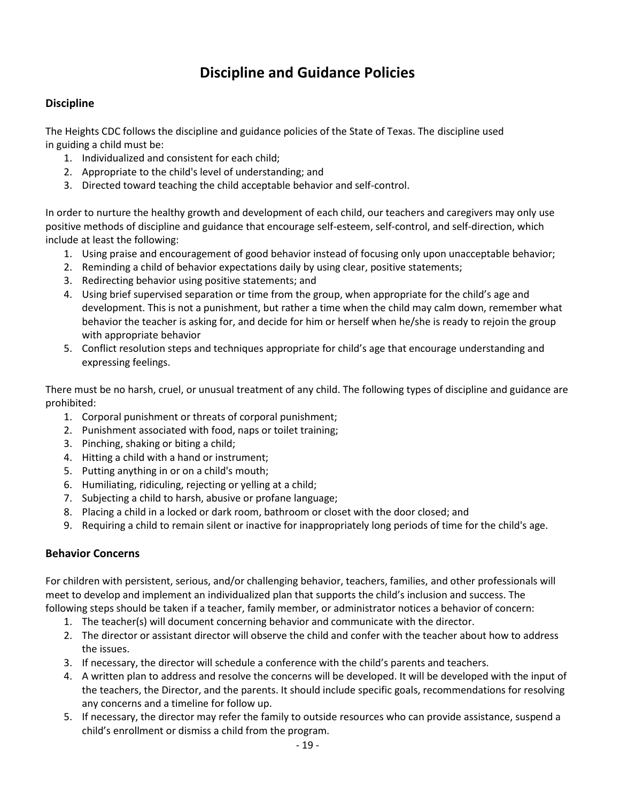### **Discipline and Guidance Policies**

#### **Discipline**

The Heights CDC follows the discipline and guidance policies of the State of Texas. The discipline used in guiding a child must be:

- 1. Individualized and consistent for each child;
- 2. Appropriate to the child's level of understanding; and
- 3. Directed toward teaching the child acceptable behavior and self-control.

In order to nurture the healthy growth and development of each child, our teachers and caregivers may only use positive methods of discipline and guidance that encourage self-esteem, self-control, and self-direction, which include at least the following:

- 1. Using praise and encouragement of good behavior instead of focusing only upon unacceptable behavior;
- 2. Reminding a child of behavior expectations daily by using clear, positive statements;
- 3. Redirecting behavior using positive statements; and
- 4. Using brief supervised separation or time from the group, when appropriate for the child's age and development. This is not a punishment, but rather a time when the child may calm down, remember what behavior the teacher is asking for, and decide for him or herself when he/she is ready to rejoin the group with appropriate behavior
- 5. Conflict resolution steps and techniques appropriate for child's age that encourage understanding and expressing feelings.

There must be no harsh, cruel, or unusual treatment of any child. The following types of discipline and guidance are prohibited:

- 1. Corporal punishment or threats of corporal punishment;
- 2. Punishment associated with food, naps or toilet training;
- 3. Pinching, shaking or biting a child;
- 4. Hitting a child with a hand or instrument;
- 5. Putting anything in or on a child's mouth;
- 6. Humiliating, ridiculing, rejecting or yelling at a child;
- 7. Subjecting a child to harsh, abusive or profane language;
- 8. Placing a child in a locked or dark room, bathroom or closet with the door closed; and
- 9. Requiring a child to remain silent or inactive for inappropriately long periods of time for the child's age.

#### **Behavior Concerns**

For children with persistent, serious, and/or challenging behavior, teachers, families, and other professionals will meet to develop and implement an individualized plan that supports the child's inclusion and success. The following steps should be taken if a teacher, family member, or administrator notices a behavior of concern:

- 1. The teacher(s) will document concerning behavior and communicate with the director.
- 2. The director or assistant director will observe the child and confer with the teacher about how to address the issues.
- 3. If necessary, the director will schedule a conference with the child's parents and teachers.
- 4. A written plan to address and resolve the concerns will be developed. It will be developed with the input of the teachers, the Director, and the parents. It should include specific goals, recommendations for resolving any concerns and a timeline for follow up.
- 5. If necessary, the director may refer the family to outside resources who can provide assistance, suspend a child's enrollment or dismiss a child from the program.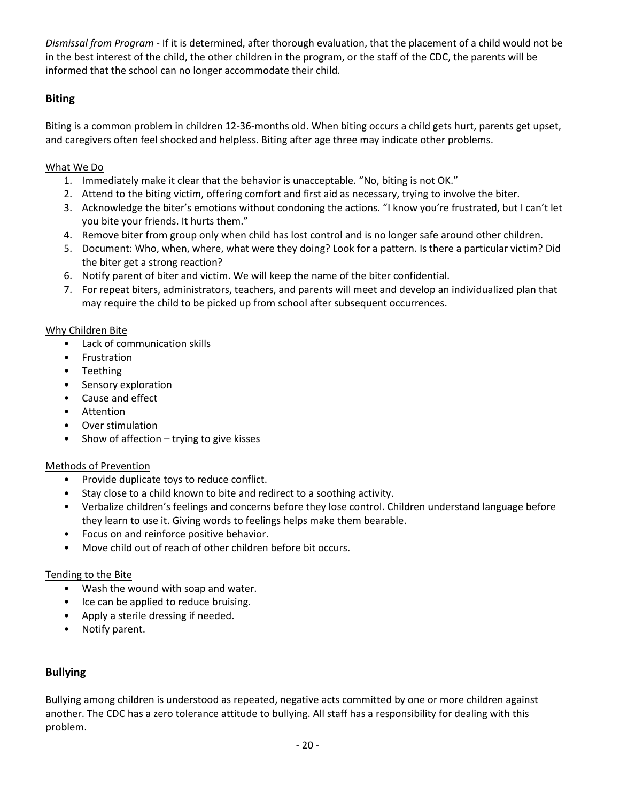*Dismissal from Program* - If it is determined, after thorough evaluation, that the placement of a child would not be in the best interest of the child, the other children in the program, or the staff of the CDC, the parents will be informed that the school can no longer accommodate their child.

#### **Biting**

Biting is a common problem in children 12-36-months old. When biting occurs a child gets hurt, parents get upset, and caregivers often feel shocked and helpless. Biting after age three may indicate other problems.

#### What We Do

- 1. Immediately make it clear that the behavior is unacceptable. "No, biting is not OK."
- 2. Attend to the biting victim, offering comfort and first aid as necessary, trying to involve the biter.
- 3. Acknowledge the biter's emotions without condoning the actions. "I know you're frustrated, but I can't let you bite your friends. It hurts them."
- 4. Remove biter from group only when child has lost control and is no longer safe around other children.
- 5. Document: Who, when, where, what were they doing? Look for a pattern. Is there a particular victim? Did the biter get a strong reaction?
- 6. Notify parent of biter and victim. We will keep the name of the biter confidential.
- 7. For repeat biters, administrators, teachers, and parents will meet and develop an individualized plan that may require the child to be picked up from school after subsequent occurrences.

#### Why Children Bite

- Lack of communication skills
- Frustration
- Teething
- Sensory exploration
- Cause and effect
- Attention
- Over stimulation
- Show of affection trying to give kisses

#### Methods of Prevention

- Provide duplicate toys to reduce conflict.
- Stay close to a child known to bite and redirect to a soothing activity.
- Verbalize children's feelings and concerns before they lose control. Children understand language before they learn to use it. Giving words to feelings helps make them bearable.
- Focus on and reinforce positive behavior.
- Move child out of reach of other children before bit occurs.

#### Tending to the Bite

- Wash the wound with soap and water.
- Ice can be applied to reduce bruising.
- Apply a sterile dressing if needed.
- Notify parent.

#### **Bullying**

Bullying among children is understood as repeated, negative acts committed by one or more children against another. The CDC has a zero tolerance attitude to bullying. All staff has a responsibility for dealing with this problem.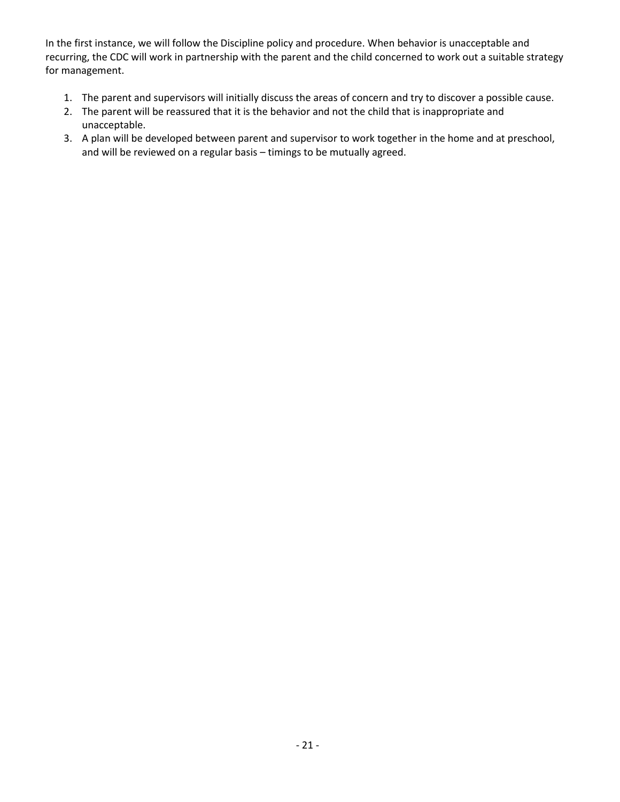In the first instance, we will follow the Discipline policy and procedure. When behavior is unacceptable and recurring, the CDC will work in partnership with the parent and the child concerned to work out a suitable strategy for management.

- 1. The parent and supervisors will initially discuss the areas of concern and try to discover a possible cause.
- 2. The parent will be reassured that it is the behavior and not the child that is inappropriate and unacceptable.
- 3. A plan will be developed between parent and supervisor to work together in the home and at preschool, and will be reviewed on a regular basis – timings to be mutually agreed.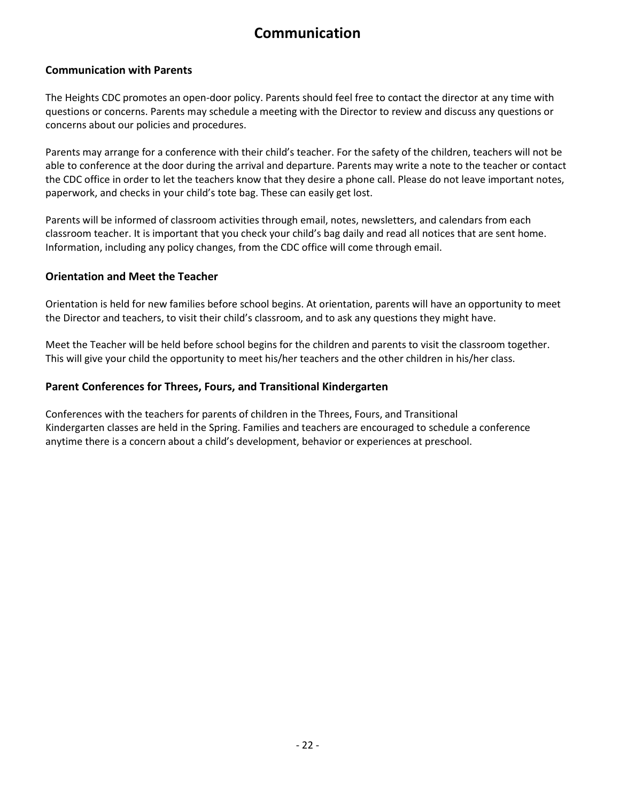# **Communication**

#### **Communication with Parents**

The Heights CDC promotes an open-door policy. Parents should feel free to contact the director at any time with questions or concerns. Parents may schedule a meeting with the Director to review and discuss any questions or concerns about our policies and procedures.

Parents may arrange for a conference with their child's teacher. For the safety of the children, teachers will not be able to conference at the door during the arrival and departure. Parents may write a note to the teacher or contact the CDC office in order to let the teachers know that they desire a phone call. Please do not leave important notes, paperwork, and checks in your child's tote bag. These can easily get lost.

Parents will be informed of classroom activities through email, notes, newsletters, and calendars from each classroom teacher. It is important that you check your child's bag daily and read all notices that are sent home. Information, including any policy changes, from the CDC office will come through email.

#### **Orientation and Meet the Teacher**

Orientation is held for new families before school begins. At orientation, parents will have an opportunity to meet the Director and teachers, to visit their child's classroom, and to ask any questions they might have.

Meet the Teacher will be held before school begins for the children and parents to visit the classroom together. This will give your child the opportunity to meet his/her teachers and the other children in his/her class.

#### **Parent Conferences for Threes, Fours, and Transitional Kindergarten**

Conferences with the teachers for parents of children in the Threes, Fours, and Transitional Kindergarten classes are held in the Spring. Families and teachers are encouraged to schedule a conference anytime there is a concern about a child's development, behavior or experiences at preschool.